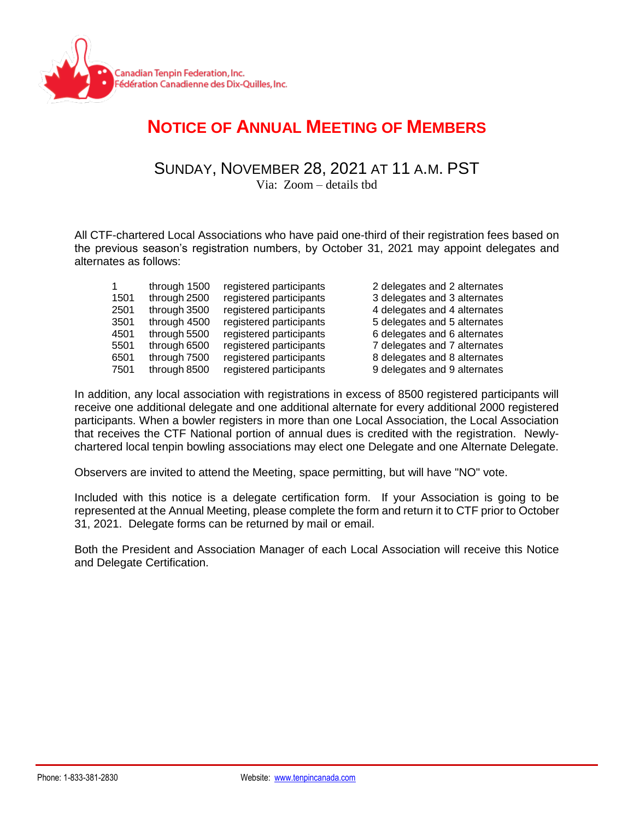

## **NOTICE OF ANNUAL MEETING OF MEMBERS**

SUNDAY, NOVEMBER 28, 2021 AT 11 A.M. PST

Via: Zoom – details tbd

All CTF-chartered Local Associations who have paid one-third of their registration fees based on the previous season's registration numbers, by October 31, 2021 may appoint delegates and alternates as follows:

| $\mathbf{1}$ | through 1500 | registered participants | 2 delegates and 2 alternates |
|--------------|--------------|-------------------------|------------------------------|
| 1501         | through 2500 | registered participants | 3 delegates and 3 alternates |
| 2501         | through 3500 | registered participants | 4 delegates and 4 alternates |
| 3501         | through 4500 | registered participants | 5 delegates and 5 alternates |
| 4501         | through 5500 | registered participants | 6 delegates and 6 alternates |
| 5501         | through 6500 | registered participants | 7 delegates and 7 alternates |
| 6501         | through 7500 | registered participants | 8 delegates and 8 alternates |
| 7501         | through 8500 | registered participants | 9 delegates and 9 alternates |

In addition, any local association with registrations in excess of 8500 registered participants will receive one additional delegate and one additional alternate for every additional 2000 registered participants. When a bowler registers in more than one Local Association, the Local Association that receives the CTF National portion of annual dues is credited with the registration. Newlychartered local tenpin bowling associations may elect one Delegate and one Alternate Delegate.

Observers are invited to attend the Meeting, space permitting, but will have "NO" vote.

Included with this notice is a delegate certification form. If your Association is going to be represented at the Annual Meeting, please complete the form and return it to CTF prior to October 31, 2021. Delegate forms can be returned by mail or email.

Both the President and Association Manager of each Local Association will receive this Notice and Delegate Certification.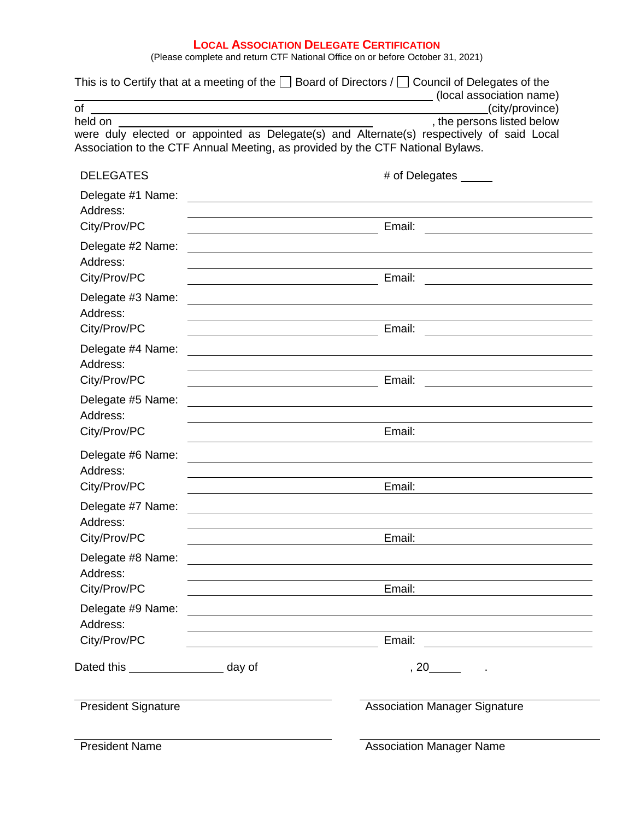## **LOCAL ASSOCIATION DELEGATE CERTIFICATION**

(Please complete and return CTF National Office on or before October 31, 2021)

|                                               |                                                                                                                  | This is to Certify that at a meeting of the $\Box$ Board of Directors / $\Box$ Council of Delegates of the                                                                  |  |
|-----------------------------------------------|------------------------------------------------------------------------------------------------------------------|-----------------------------------------------------------------------------------------------------------------------------------------------------------------------------|--|
| of                                            |                                                                                                                  | (local association name)<br><u> 1989 - Johann Barn, amerikansk politiker (</u><br>(city/province)                                                                           |  |
| held on                                       | and the control of the control of the control of the control of the control of the control of the control of the | , the persons listed below                                                                                                                                                  |  |
|                                               |                                                                                                                  | were duly elected or appointed as Delegate(s) and Alternate(s) respectively of said Local<br>Association to the CTF Annual Meeting, as provided by the CTF National Bylaws. |  |
| <b>DELEGATES</b>                              |                                                                                                                  | # of Delegates _____                                                                                                                                                        |  |
| Delegate #1 Name:<br>Address:<br>City/Prov/PC |                                                                                                                  | Email:                                                                                                                                                                      |  |
| Delegate #2 Name:<br>Address:<br>City/Prov/PC |                                                                                                                  | <u> 1989 - Andrea Barbara, Amerikaansk politiker (d. 1989)</u><br>Email:                                                                                                    |  |
| Delegate #3 Name:<br>Address:                 |                                                                                                                  |                                                                                                                                                                             |  |
| City/Prov/PC<br>Delegate #4 Name:<br>Address: |                                                                                                                  | Email:                                                                                                                                                                      |  |
| City/Prov/PC                                  |                                                                                                                  | Email:                                                                                                                                                                      |  |
| Delegate #5 Name:<br>Address:                 |                                                                                                                  |                                                                                                                                                                             |  |
| City/Prov/PC                                  |                                                                                                                  | Email:                                                                                                                                                                      |  |
| Delegate #6 Name:<br>Address:<br>City/Prov/PC |                                                                                                                  | Email:                                                                                                                                                                      |  |
| Delegate #7 Name:                             |                                                                                                                  |                                                                                                                                                                             |  |
| Address:<br>City/Prov/PC                      |                                                                                                                  | Email:                                                                                                                                                                      |  |
| Delegate #8 Name:<br>Address:                 |                                                                                                                  | <u> 1989 - Johann Stoff, deutscher Stoffen und der Stoffen und der Stoffen und der Stoffen und der Stoffen und de</u>                                                       |  |
| City/Prov/PC                                  | <u> 1989 - Johann Barn, fransk politik amerikansk politik (</u>                                                  |                                                                                                                                                                             |  |
| Delegate #9 Name:<br>Address:                 |                                                                                                                  | <u> 1989 - Johann Stoff, deutscher Stoff, der Stoff, der Stoff, der Stoff, der Stoff, der Stoff, der Stoff, der S</u>                                                       |  |
| City/Prov/PC                                  |                                                                                                                  |                                                                                                                                                                             |  |
| Dated this day of                             |                                                                                                                  | $, 20$ $.$                                                                                                                                                                  |  |
| <b>President Signature</b>                    |                                                                                                                  | <b>Association Manager Signature</b>                                                                                                                                        |  |
| <b>President Name</b>                         |                                                                                                                  | <b>Association Manager Name</b>                                                                                                                                             |  |